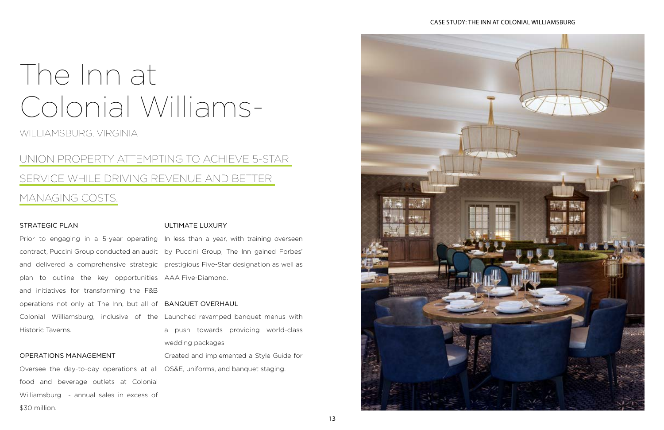WILLIAMSBURG, VIRGINIA

## UNION PROPERTY ATTEMPTING TO ACHIEVE 5-STAR SERVICE WHILE DRIVING REVENUE AND BETTER MANAGING COSTS.

### STRATEGIC PLAN

plan to outline the key opportunities AAA Five-Diamond. and initiatives for transforming the F&B operations not only at The Inn, but all of BANQUET OVERHAUL Historic Taverns.

Prior to engaging in a 5-year operating In less than a year, with training overseen contract, Puccini Group conducted an audit by Puccini Group, The Inn gained Forbes' and delivered a comprehensive strategic prestigious Five-Star designation as well as

### OPERATIONS MANAGEMENT

Oversee the day-to-day operations at all OS&E, uniforms, and banquet staging. food and beverage outlets at Colonial Williamsburg - annual sales in excess of \$30 million.

### ULTIMATE LUXURY

Colonial Williamsburg, inclusive of the Launched revamped banquet menus with a push towards providing world-class wedding packages

Created and implemented a Style Guide for



# The Inn at Colonial Williams-

### CASE STUDY: THE INN AT COLONIAL WILLIAMSBURG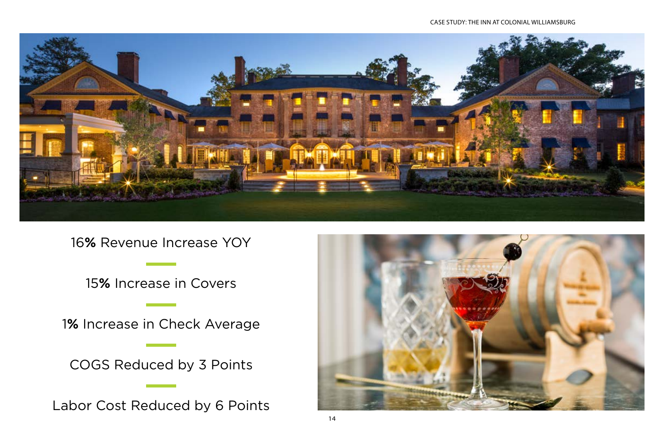

16**%** Revenue Increase YOY

15**%** Increase in Covers

1**%** Increase in Check Average

COGS Reduced by 3 Points

Labor Cost Reduced by 6 Points



### CASE STUDY: THE INN AT COLONIAL WILLIAMSBURG